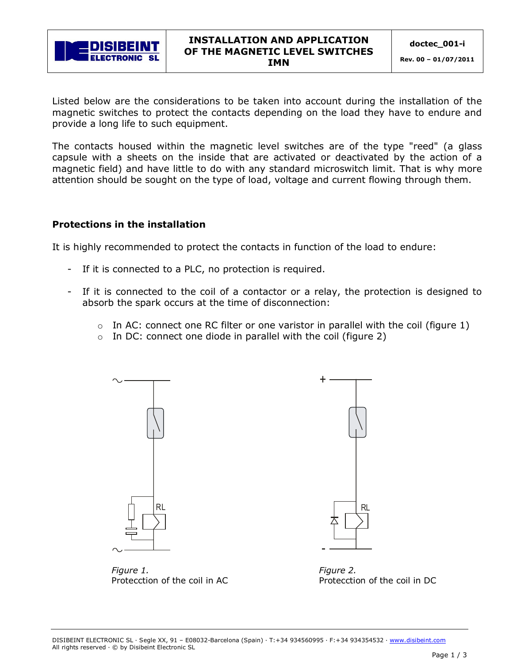

Listed below are the considerations to be taken into account during the installation of the magnetic switches to protect the contacts depending on the load they have to endure and provide a long life to such equipment.

The contacts housed within the magnetic level switches are of the type "reed" (a glass capsule with a sheets on the inside that are activated or deactivated by the action of a magnetic field) and have little to do with any standard microswitch limit. That is why more attention should be sought on the type of load, voltage and current flowing through them.

## Protections in the installation

It is highly recommended to protect the contacts in function of the load to endure:

- If it is connected to a PLC, no protection is required.
- If it is connected to the coil of a contactor or a relay, the protection is designed to absorb the spark occurs at the time of disconnection:
	- o In AC: connect one RC filter or one varistor in parallel with the coil (figure 1)
	- $\circ$  In DC: connect one diode in parallel with the coil (figure 2)



*Figure 1. Figure 2.*



Protecction of the coil in AC Protecction of the coil in DC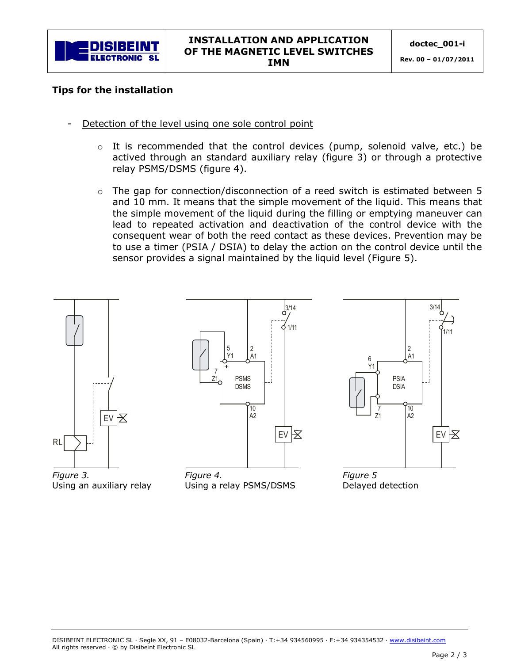

## Tips for the installation

- Detection of the level using one sole control point
	- $\circ$  It is recommended that the control devices (pump, solenoid valve, etc.) be actived through an standard auxiliary relay (figure 3) or through a protective relay PSMS/DSMS (figure 4).
	- $\circ$  The gap for connection/disconnection of a reed switch is estimated between 5 and 10 mm. It means that the simple movement of the liquid. This means that the simple movement of the liquid during the filling or emptying maneuver can lead to repeated activation and deactivation of the control device with the consequent wear of both the reed contact as these devices. Prevention may be to use a timer (PSIA / DSIA) to delay the action on the control device until the sensor provides a signal maintained by the liquid level (Figure 5).



*Figure 3.*  Using an auxiliary relay



*Figure 4.*  Using a relay PSMS/DSMS



*Figure 5*  Delayed detection